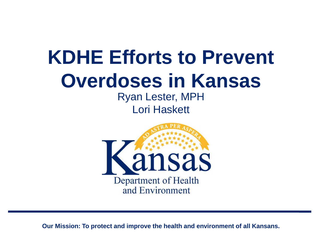### **KDHE Efforts to Prevent Overdoses in Kansas**

Ryan Lester, MPH Lori Haskett

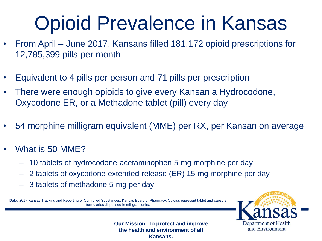## Opioid Prevalence in Kansas

- From April June 2017, Kansans filled 181,172 opioid prescriptions for 12,785,399 pills per month
- Equivalent to 4 pills per person and 71 pills per prescription
- There were enough opioids to give every Kansan a Hydrocodone, Oxycodone ER, or a Methadone tablet (pill) every day
- 54 morphine milligram equivalent (MME) per RX, per Kansan on average
- What is 50 MME?
	- 10 tablets of hydrocodone-acetaminophen 5-mg morphine per day
	- 2 tablets of oxycodone extended-release (ER) 15-mg morphine per day
	- 3 tablets of methadone 5-mg per day

**Data:** 2017 Kansas Tracking and Reporting of Controlled Substances, Kansas Board of Pharmacy. Opioids represent tablet and capsule formularies dispensed in milligram units.

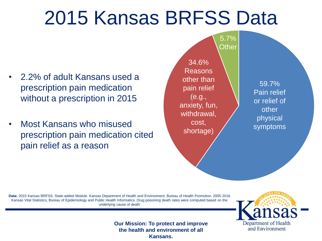### 2015 Kansas BRFSS Data

- 2.2% of adult Kansans used a prescription pain medication without a prescription in 2015
- Most Kansans who misused prescription pain medication cited pain relief as a reason



**Data:** 2015 Kansas BRFSS. State-added Module. Kansas Department of Health and Environment, Bureau of Health Promotion. 2005-2016 Kansas Vital Statistics, Bureau of Epidemiology and Public Health Informatics. Drug poisoning death rates were computed based on the underlying cause of death

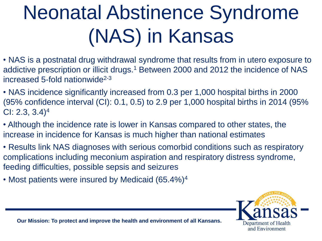# Neonatal Abstinence Syndrome (NAS) in Kansas

- NAS is a postnatal drug withdrawal syndrome that results from in utero exposure to addictive prescription or illicit drugs.<sup>1</sup> Between 2000 and 2012 the incidence of NAS increased 5-fold nationwide<sup>2-3</sup>
- NAS incidence significantly increased from 0.3 per 1,000 hospital births in 2000 (95% confidence interval (CI): 0.1, 0.5) to 2.9 per 1,000 hospital births in 2014 (95% CI: 2.3,  $3.4$ <sup>4</sup>
- Although the incidence rate is lower in Kansas compared to other states, the increase in incidence for Kansas is much higher than national estimates
- Results link NAS diagnoses with serious comorbid conditions such as respiratory complications including meconium aspiration and respiratory distress syndrome, feeding difficulties, possible sepsis and seizures
- Most patients were insured by Medicaid (65.4%)<sup>4</sup>

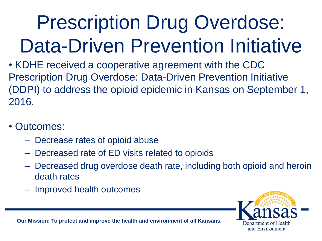# Prescription Drug Overdose: Data-Driven Prevention Initiative

• KDHE received a cooperative agreement with the CDC Prescription Drug Overdose: Data-Driven Prevention Initiative (DDPI) to address the opioid epidemic in Kansas on September 1, 2016.

- Outcomes:
	- Decrease rates of opioid abuse
	- Decreased rate of ED visits related to opioids
	- Decreased drug overdose death rate, including both opioid and heroin death rates
	- Improved health outcomes

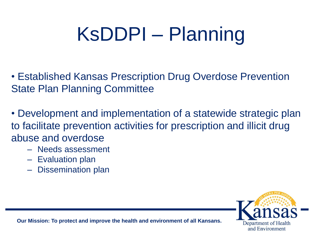# KsDDPI – Planning

• Established Kansas Prescription Drug Overdose Prevention State Plan Planning Committee

• Development and implementation of a statewide strategic plan to facilitate prevention activities for prescription and illicit drug abuse and overdose

- Needs assessment
- Evaluation plan
- Dissemination plan

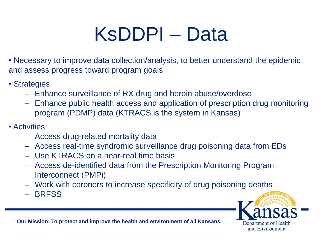## KsDDPI – Data

• Necessary to improve data collection/analysis, to better understand the epidemic and assess progress toward program goals

- Strategies
	- Enhance surveillance of RX drug and heroin abuse/overdose
	- Enhance public health access and application of prescription drug monitoring program (PDMP) data (KTRACS is the system in Kansas)
- Activities
	- Access drug-related mortality data
	- Access real-time syndromic surveillance drug poisoning data from EDs
	- Use KTRACS on a near-real time basis
	- Access de-identified data from the Prescription Monitoring Program Interconnect (PMPi)
	- Work with coroners to increase specificity of drug poisoning deaths
	- BRFSS

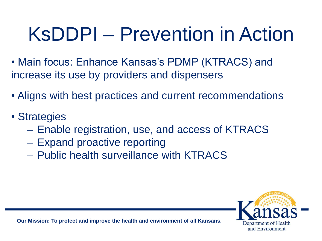## KsDDPI – Prevention in Action

- Main focus: Enhance Kansas's PDMP (KTRACS) and increase its use by providers and dispensers
- Aligns with best practices and current recommendations
- Strategies
	- Enable registration, use, and access of KTRACS
	- Expand proactive reporting
	- Public health surveillance with KTRACS